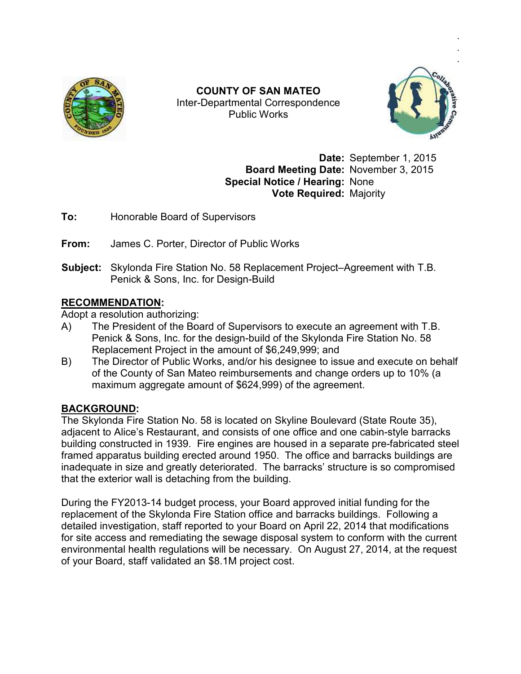

Inter Inter-Departmental Correspondence **COUNTY OF SAN MATEO**  Public Works



**Date:** September 1, 2015 **Board Meeting Date:** November 3 3, 2015 **Special Notice / Hearing:** None **Vote Required:** Majority

**To:** Honorable Board of Supervisors

**From:** James C. Porter, Director of Public Works

**To:** Honorable Board of Supervisors<br>**From:** James C. Porter, Director of Public Works<br>**Subject:** Skylonda Fire Station No. 58 Replacement Project–Agreement with T.B. Penick & Sons, Inc. for Design-Build Subject: Skylonda Fire Station No. 58 Replacement Project–Agreement with T.B.<br>Penick & Sons, Inc. for Design-Build<br>RECOMMENDATION:<br>Adopt a resolution authorizing:<br>A) The President of the Board of Supervisors to execute an

## **RECOMMENDATION:**

Adopt a resolution authorizing:

- Penick & Sons, Inc. for the design-build of the Skylonda Fire Station No. 58 Replacement Project in the amount of \$6,249,999; and
- B) The Director of Public Works, and/or his designee to issue and execute on behalf of the County of San Mateo reimbursements and change orders up to 10% of the County of San Mateo reimbursements and change ord<br>maximum aggregate amount of \$624,999) of the agreement. build of the Skylonda Fire Station No. 58<br>t of \$6,249,999; and<br>or his designee to issue and execute on bel<br>irsements and change orders up to 10% (a

## **BACKGROUND:**

The Skylonda Fire Station No. 58 is located on Skyline Boulevard (State Route 35) 35), The Skylonda Fire Station No. 58 is located on Skyline Boulevard (State Route 35),<br>adjacent to Alice's Restaurant, and consists of one office and one cabin-style barracks adjacent to Alice's Restaurant, and consists of one office and one cabin-style barracks<br>building constructed in 1939. Fire engines are housed in a separate pre-fabricated steel framed apparatus building erected around 1950. The office and barracks buildings are framed apparatus building erected around 1950. The office and barracks buildings are<br>inadequate in size and greatly deteriorated. The barracks' structure is so compromised that the exterior wall is detaching from the building. COUNTY OF SAN MATEO<br>
Inter-Departmental Correspondence<br>
Public Works<br>
Public Works<br>
Date: September 1, 2015<br>
Special Notice / Hearting: None<br>
Date: September 1, 2015<br>
Special Notice / Hearting: None<br>
To:<br>
Honorable Board o

that the exterior wall is detaching from the building.<br>During the FY2013-14 budget process, your Board approved initial funding for the replacement of the Skylonda Fire Station office and barracks buildings. Following a detailed investigation, staff reported to your Board on April 22, 2014 that modifications replacement of the Skylonda Fire Station office and barracks buildings. Following a<br>detailed investigation, staff reported to your Board on April 22, 2014 that modifications<br>for site access and remediating the sewage disp environmental health regulations will be necessary. On August 27, 2014, at the request of your Board, staff validated an \$8.1M project cost.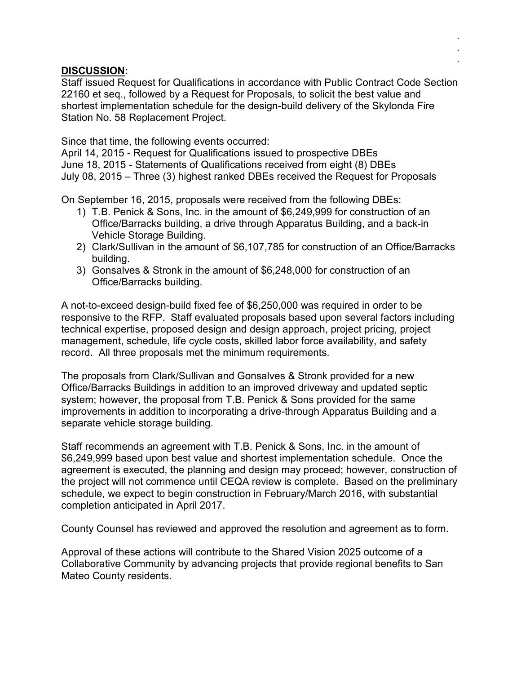## **DISCUSSION:**

Staff issued Request for Qualifications in accordance with Public Contract Code Section 22160 et seq., followed by a Request for Proposals, to solicit the best value and shortest implementation schedule for the design-build delivery of the Skylonda Fire Station No. 58 Replacement Project.

. . .

Since that time, the following events occurred:

April 14, 2015 - Request for Qualifications issued to prospective DBEs June 18, 2015 - Statements of Qualifications received from eight (8) DBEs July 08, 2015 – Three (3) highest ranked DBEs received the Request for Proposals

On September 16, 2015, proposals were received from the following DBEs:

- 1) T.B. Penick & Sons, Inc. in the amount of \$6,249,999 for construction of an Office/Barracks building, a drive through Apparatus Building, and a back-in Vehicle Storage Building.
- 2) Clark/Sullivan in the amount of \$6,107,785 for construction of an Office/Barracks building.
- 3) Gonsalves & Stronk in the amount of \$6,248,000 for construction of an Office/Barracks building.

A not-to-exceed design-build fixed fee of \$6,250,000 was required in order to be responsive to the RFP. Staff evaluated proposals based upon several factors including technical expertise, proposed design and design approach, project pricing, project management, schedule, life cycle costs, skilled labor force availability, and safety record. All three proposals met the minimum requirements.

The proposals from Clark/Sullivan and Gonsalves & Stronk provided for a new Office/Barracks Buildings in addition to an improved driveway and updated septic system; however, the proposal from T.B. Penick & Sons provided for the same improvements in addition to incorporating a drive-through Apparatus Building and a separate vehicle storage building.

Staff recommends an agreement with T.B. Penick & Sons, Inc. in the amount of \$6,249,999 based upon best value and shortest implementation schedule. Once the agreement is executed, the planning and design may proceed; however, construction of the project will not commence until CEQA review is complete. Based on the preliminary schedule, we expect to begin construction in February/March 2016, with substantial completion anticipated in April 2017.

County Counsel has reviewed and approved the resolution and agreement as to form.

Approval of these actions will contribute to the Shared Vision 2025 outcome of a Collaborative Community by advancing projects that provide regional benefits to San Mateo County residents.